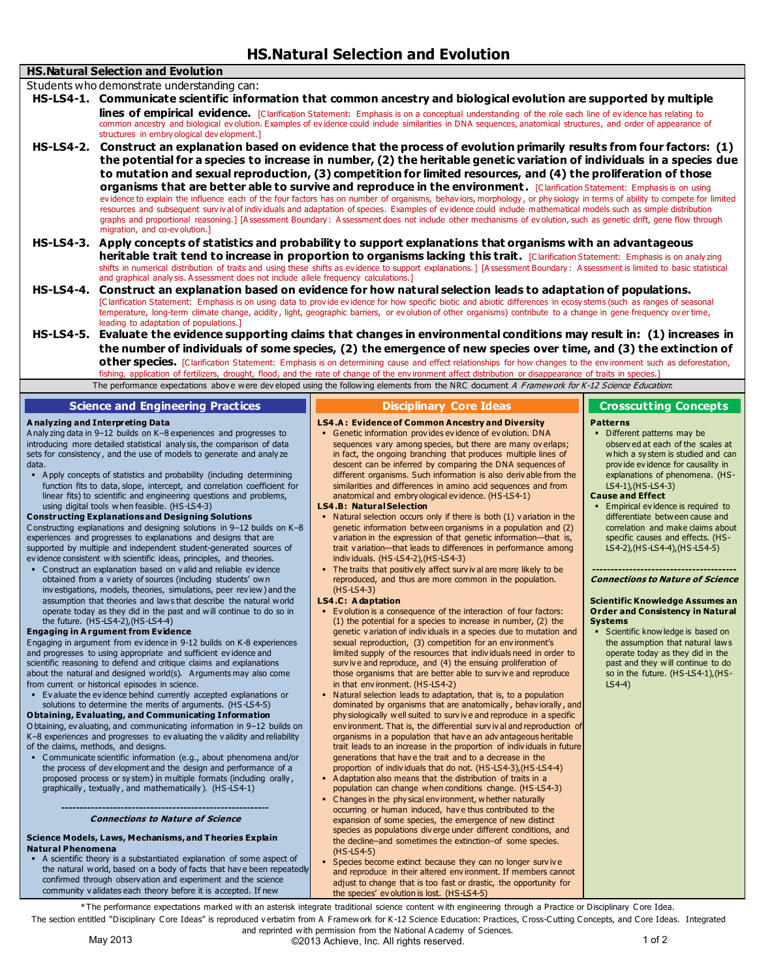## **HS.Natural Selection and Evolution**

Students who demonstrate understanding can:

- **HS-LS4-1. Communicate scientific information that common ancestry and biological evolution are supported by multiple lines of empirical evidence.** [Clarification Statement: Emphasis is on a conceptual understanding of the role each line of evidence has relating to common ancestry and biological ev olution. Examples of ev idence could include similarities in DNA sequences, anatomical structures, and order of appearance of structures in embry ological dev elopment.]
- **HS-LS4-2. Construct an explanation based on evidence that the process of evolution primarily results from four factors: (1) the potential for a species to increase in number, (2) the heritable genetic variation of individuals in a species due to mutation and sexual reproduction, (3) competition for limited resources, and (4) the proliferation of those organisms that are better able to survive and reproduce in the environment. [Clarification Statement: Emphasis is on using** evidence to explain the influence each of the four factors has on number of organisms, behaviors, morphology, or phy siology in terms of ability to compete for limited resources and subsequent surv iv al of indiv iduals and adaptation of species. Examples of ev idence could include mathematical models such as simple distribution graphs and proportional reasoning.] [A ssessment Boundary : A ssessment does not include other mechanisms of ev olution, such as genetic drift, gene flow through migration, and co-ev olution.]
- **HS-LS4-3. Apply concepts of statistics and probability to support explanations that organisms with an advantageous heritable trait tend to increase in proportion to organisms lacking this trait.** [C larification Statement: Emphasis is on analy zing shifts in numerical distribution of traits and using these shifts as evidence to support explanations.] [A ssessment Boundary: A ssessment is limited to basic statistical and graphical analy sis. A ssessment does not include allele frequency calculations.]
- **HS-LS4-4. Construct an explanation based on evidence for how natural selection leads to adaptation of populations.** [C larification Statement: Emphasis is on using data to prov ide ev idence for how specific biotic and abiotic differences in ecosy stems (such as ranges of seasonal temperature, long-term climate change, acidity , light, geographic barriers, or ev olution of other organisms) contribute to a change in gene frequency ov er time, leading to adaptation of populations.]
- **HS-LS4-5. Evaluate the evidence supporting claims that changes in environmental conditions may result in: (1) increases in the number of individuals of some species, (2) the emergence of new species over time, and (3) the extinction of other species.** [Clarification Statement: Emphasis is on determining cause and effect relationships for how changes to the env ironment such as deforestation, fishing, application of fertilizers, drought, flood, and the rate of change of the environment affect distribution or disappearance of traits in species.]

| The performance expectations above were developed using the following elements from the NRC document A Framework for K-12 Science Education:                                                                                                                                                                                                                                                                                                                                                                                                                                                                                                                                                                                                                                                                                                                                                                                                                                                                                                                                                                                                                                                                                                                                                                                                                                                                                                                                                                                                                                                                                                                                                                                                                                                                                                                                                                                                                                                                                                                                                                                                                                                                                                                                                                                                                                                                                                                           |                                                                                                                                                                                                                                                                                                                                                                                                                                                                                                                                                                                                                                                                                                                                                                                                                                                                                                                                                                                                                                                                                                                                                                                                                                                                                                                                                                                                                                                                                                                                                                                                                                                                                                                                                                                                                                                                                                                                                                                                                                                                                                                                                                                                                                                                                                                                                                                                                                                                                                                                                                           |                                                                                                                                                                                                                                                                                                                                                                                                                                                                                                                                                                                                                                                                                                                                                                                                     |
|------------------------------------------------------------------------------------------------------------------------------------------------------------------------------------------------------------------------------------------------------------------------------------------------------------------------------------------------------------------------------------------------------------------------------------------------------------------------------------------------------------------------------------------------------------------------------------------------------------------------------------------------------------------------------------------------------------------------------------------------------------------------------------------------------------------------------------------------------------------------------------------------------------------------------------------------------------------------------------------------------------------------------------------------------------------------------------------------------------------------------------------------------------------------------------------------------------------------------------------------------------------------------------------------------------------------------------------------------------------------------------------------------------------------------------------------------------------------------------------------------------------------------------------------------------------------------------------------------------------------------------------------------------------------------------------------------------------------------------------------------------------------------------------------------------------------------------------------------------------------------------------------------------------------------------------------------------------------------------------------------------------------------------------------------------------------------------------------------------------------------------------------------------------------------------------------------------------------------------------------------------------------------------------------------------------------------------------------------------------------------------------------------------------------------------------------------------------------|---------------------------------------------------------------------------------------------------------------------------------------------------------------------------------------------------------------------------------------------------------------------------------------------------------------------------------------------------------------------------------------------------------------------------------------------------------------------------------------------------------------------------------------------------------------------------------------------------------------------------------------------------------------------------------------------------------------------------------------------------------------------------------------------------------------------------------------------------------------------------------------------------------------------------------------------------------------------------------------------------------------------------------------------------------------------------------------------------------------------------------------------------------------------------------------------------------------------------------------------------------------------------------------------------------------------------------------------------------------------------------------------------------------------------------------------------------------------------------------------------------------------------------------------------------------------------------------------------------------------------------------------------------------------------------------------------------------------------------------------------------------------------------------------------------------------------------------------------------------------------------------------------------------------------------------------------------------------------------------------------------------------------------------------------------------------------------------------------------------------------------------------------------------------------------------------------------------------------------------------------------------------------------------------------------------------------------------------------------------------------------------------------------------------------------------------------------------------------------------------------------------------------------------------------------------------------|-----------------------------------------------------------------------------------------------------------------------------------------------------------------------------------------------------------------------------------------------------------------------------------------------------------------------------------------------------------------------------------------------------------------------------------------------------------------------------------------------------------------------------------------------------------------------------------------------------------------------------------------------------------------------------------------------------------------------------------------------------------------------------------------------------|
| <b>Science and Engineering Practices</b>                                                                                                                                                                                                                                                                                                                                                                                                                                                                                                                                                                                                                                                                                                                                                                                                                                                                                                                                                                                                                                                                                                                                                                                                                                                                                                                                                                                                                                                                                                                                                                                                                                                                                                                                                                                                                                                                                                                                                                                                                                                                                                                                                                                                                                                                                                                                                                                                                               | <b>Disciplinary Core Ideas</b>                                                                                                                                                                                                                                                                                                                                                                                                                                                                                                                                                                                                                                                                                                                                                                                                                                                                                                                                                                                                                                                                                                                                                                                                                                                                                                                                                                                                                                                                                                                                                                                                                                                                                                                                                                                                                                                                                                                                                                                                                                                                                                                                                                                                                                                                                                                                                                                                                                                                                                                                            | <b>Crosscutting Concepts</b>                                                                                                                                                                                                                                                                                                                                                                                                                                                                                                                                                                                                                                                                                                                                                                        |
| A nalyzing and Interpreting Data<br>Analy zing data in 9-12 builds on K-8 experiences and progresses to<br>introducing more detailed statistical analy sis, the comparison of data<br>sets for consistency, and the use of models to generate and analyze<br>data.<br>• Apply concepts of statistics and probability (including determining<br>function fits to data, slope, intercept, and correlation coefficient for<br>linear fits) to scientific and engineering questions and problems,<br>using digital tools when feasible. (HS-LS4-3)<br><b>Constructing Explanations and Designing Solutions</b><br>Constructing explanations and designing solutions in 9-12 builds on K-8<br>experiences and progresses to explanations and designs that are<br>supported by multiple and independent student-generated sources of<br>evidence consistent with scientific ideas, principles, and theories.<br>• Construct an explanation based on valid and reliable evidence<br>obtained from a variety of sources (including students' own<br>investigations, models, theories, simulations, peer review) and the<br>assumption that theories and laws that describe the natural world<br>operate today as they did in the past and will continue to do so in<br>the future. (HS-LS4-2), (HS-LS4-4)<br><b>Engaging in Argument from Evidence</b><br>Engaging in argument from evidence in 9-12 builds on K-8 experiences<br>and progresses to using appropriate and sufficient evidence and<br>scientific reasoning to defend and critique claims and explanations<br>about the natural and designed world(s). Arguments may also come<br>from current or historical episodes in science.<br>• Evaluate the evidence behind currently accepted explanations or<br>solutions to determine the merits of arguments. (HS-LS4-5)<br><b>Obtaining, Evaluating, and Communicating Information</b><br>Obtaining, evaluating, and communicating information in 9-12 builds on<br>K-8 experiences and progresses to evaluating the validity and reliability<br>of the claims, methods, and designs.<br>• Communicate scientific information (e.g., about phenomena and/or<br>the process of development and the design and performance of a<br>proposed process or system) in multiple formats (including orally,<br>graphically, textually, and mathematically). (HS-LS4-1)<br><b>Connections to Nature of Science</b><br>Science Models, Laws, Mechanisms, and Theories Explain | <b>LS4.A: Evidence of Common Ancestry and Diversity</b><br>• Genetic information provides evidence of evolution. DNA<br>sequences vary among species, but there are many overlaps;<br>in fact, the ongoing branching that produces multiple lines of<br>descent can be inferred by comparing the DNA sequences of<br>different organisms. Such information is also derivable from the<br>similarities and differences in amino acid sequences and from<br>anatomical and embry ological evidence. (HS-LS4-1)<br><b>LS4.B: Natural Selection</b><br>• Natural selection occurs only if there is both (1) variation in the<br>genetic information between organisms in a population and (2)<br>variation in the expression of that genetic information-that is,<br>trait variation-that leads to differences in performance among<br>individuals. (HS-LS4-2), (HS-LS4-3)<br>• The traits that positively affect survival are more likely to be<br>reproduced, and thus are more common in the population.<br>$(HS-LS4-3)$<br>LS4.C: Adaptation<br>• Evolution is a consequence of the interaction of four factors:<br>(1) the potential for a species to increase in number, (2) the<br>genetic variation of individuals in a species due to mutation and<br>sexual reproduction, (3) competition for an environment's<br>limited supply of the resources that individuals need in order to<br>survive and reproduce, and (4) the ensuing proliferation of<br>those organisms that are better able to survive and reproduce<br>in that environment. (HS-LS4-2)<br>• Natural selection leads to adaptation, that is, to a population<br>dominated by organisms that are anatomically, behaviorally, and<br>phy siologically well suited to survive and reproduce in a specific<br>environment. That is, the differential survival and reproduction of<br>organisms in a population that have an advantageous heritable<br>trait leads to an increase in the proportion of individuals in future<br>generations that have the trait and to a decrease in the<br>proportion of individuals that do not. (HS-LS4-3), (HS-LS4-4)<br>• Adaptation also means that the distribution of traits in a<br>population can change when conditions change. (HS-LS4-3)<br>• Changes in the phy sical environment, whether naturally<br>occurring or human induced, have thus contributed to the<br>expansion of some species, the emergence of new distinct<br>species as populations diverge under different conditions, and<br>the decline-and sometimes the extinction-of some species. | <b>Patterns</b><br>• Different patterns may be<br>observed at each of the scales at<br>which a system is studied and can<br>provide evidence for causality in<br>explanations of phenomena. (HS-<br>$LS4-1$ ), $(HS-LS4-3)$<br><b>Cause and Effect</b><br>• Empirical evidence is required to<br>differentiate between cause and<br>correlation and make claims about<br>specific causes and effects. (HS-<br>LS4-2), (HS-LS4-4), (HS-LS4-5)<br><b>Connections to Nature of Science</b><br><b>Scientific Knowledge Assumes an</b><br><b>Order and Consistency in Natural</b><br><b>Systems</b><br>• Scientific knowledge is based on<br>the assumption that natural laws<br>operate today as they did in the<br>past and they will continue to do<br>so in the future. (HS-LS4-1), (HS-<br>$LS4-4)$ |

## **Science Models, Laws, Mechanisms, and T heories Explain Natural Phenomena**

 A scientific theory is a substantiated explanation of some aspect of the natural world, based on a body of facts that hav e been repeatedly confirmed through observ ation and experiment and the science community v alidates each theory before it is accepted. If new

(HS-LS4-5) Species become extinct because they can no longer surv iv e and reproduce in their altered env ironment. If members cannot adjust to change that is too fast or drastic, the opportunity for the species' ev olution is lost. (HS-LS4-5)

\*The performance expectations marked with an asterisk integrate traditional science content with engineering through a Practice or Disciplinary C ore Idea. The section entitled "Disciplinary Core Ideas" is reproduced verbatim from A Framework for K-12 Science Education: Practices, Cross-Cutting Concepts, and Core Ideas. Integrated and reprinted with permission from the National A cademy of Sciences.